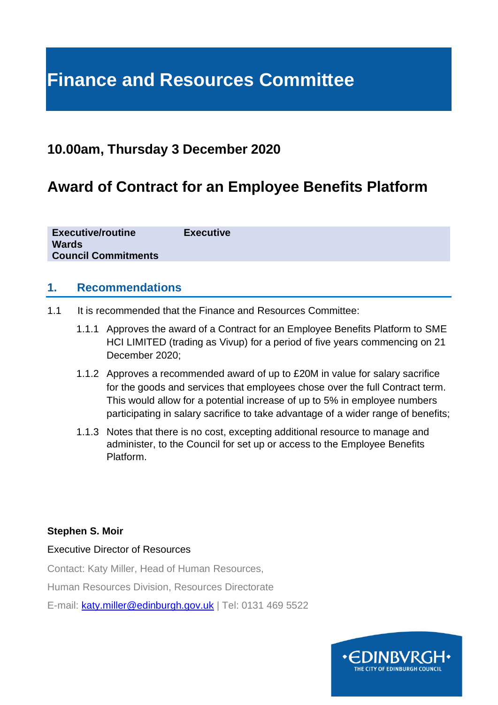# **Finance and Resources Committee**

# **10.00am, Thursday 3 December 2020**

# **Award of Contract for an Employee Benefits Platform**

**Executive/routine Executive Wards Council Commitments**

#### **1. Recommendations**

- 1.1 It is recommended that the Finance and Resources Committee:
	- 1.1.1 Approves the award of a Contract for an Employee Benefits Platform to SME HCI LIMITED (trading as Vivup) for a period of five years commencing on 21 December 2020;
	- 1.1.2 Approves a recommended award of up to £20M in value for salary sacrifice for the goods and services that employees chose over the full Contract term. This would allow for a potential increase of up to 5% in employee numbers participating in salary sacrifice to take advantage of a wider range of benefits;
	- 1.1.3 Notes that there is no cost, excepting additional resource to manage and administer, to the Council for set up or access to the Employee Benefits Platform.

#### **Stephen S. Moir**

#### Executive Director of Resources

Contact: Katy Miller, Head of Human Resources,

Human Resources Division, Resources Directorate

E-mail: [katy.miller@edinburgh.gov.uk](mailto:katy.miller@edinburgh.gov.uk) | Tel: 0131 469 5522

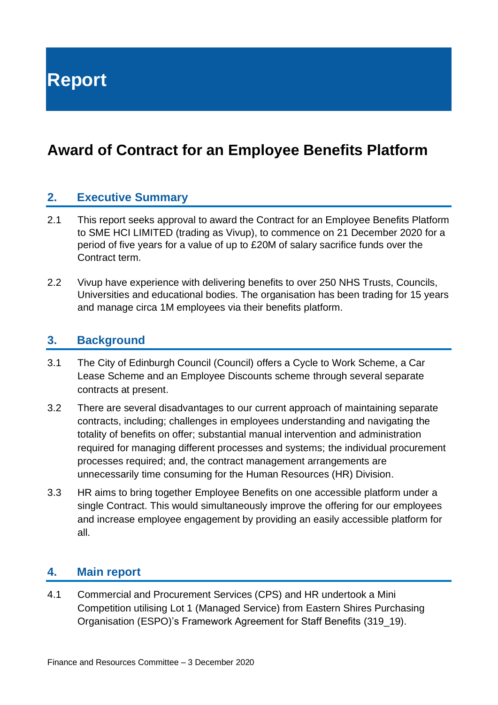**Report**

# **Award of Contract for an Employee Benefits Platform**

#### **2. Executive Summary**

- 2.1 This report seeks approval to award the Contract for an Employee Benefits Platform to SME HCI LIMITED (trading as Vivup), to commence on 21 December 2020 for a period of five years for a value of up to £20M of salary sacrifice funds over the Contract term.
- 2.2 Vivup have experience with delivering benefits to over 250 NHS Trusts, Councils, Universities and educational bodies. The organisation has been trading for 15 years and manage circa 1M employees via their benefits platform.

#### **3. Background**

- 3.1 The City of Edinburgh Council (Council) offers a Cycle to Work Scheme, a Car Lease Scheme and an Employee Discounts scheme through several separate contracts at present.
- 3.2 There are several disadvantages to our current approach of maintaining separate contracts, including; challenges in employees understanding and navigating the totality of benefits on offer; substantial manual intervention and administration required for managing different processes and systems; the individual procurement processes required; and, the contract management arrangements are unnecessarily time consuming for the Human Resources (HR) Division.
- 3.3 HR aims to bring together Employee Benefits on one accessible platform under a single Contract. This would simultaneously improve the offering for our employees and increase employee engagement by providing an easily accessible platform for all.

#### **4. Main report**

4.1 Commercial and Procurement Services (CPS) and HR undertook a Mini Competition utilising Lot 1 (Managed Service) from Eastern Shires Purchasing Organisation (ESPO)'s Framework Agreement for Staff Benefits (319\_19).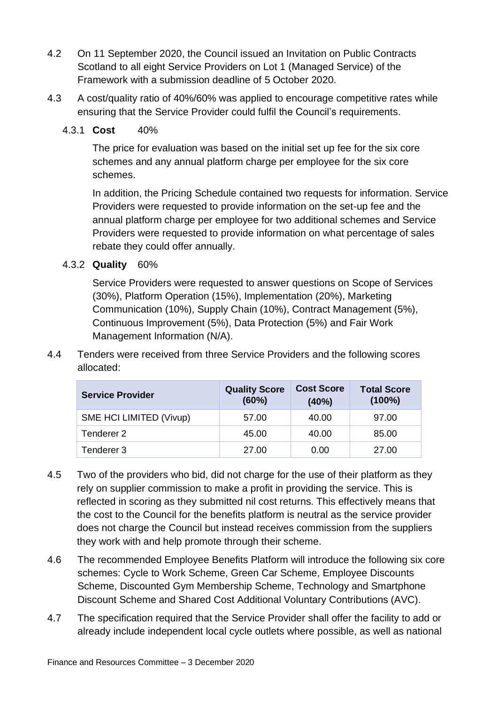- 4.2 On 11 September 2020, the Council issued an Invitation on Public Contracts Scotland to all eight Service Providers on Lot 1 (Managed Service) of the Framework with a submission deadline of 5 October 2020.
- 4.3 A cost/quality ratio of 40%/60% was applied to encourage competitive rates while ensuring that the Service Provider could fulfil the Council's requirements.

#### 4.3.1 **Cost** 40%

The price for evaluation was based on the initial set up fee for the six core schemes and any annual platform charge per employee for the six core schemes.

In addition, the Pricing Schedule contained two requests for information. Service Providers were requested to provide information on the set-up fee and the annual platform charge per employee for two additional schemes and Service Providers were requested to provide information on what percentage of sales rebate they could offer annually.

#### 4.3.2 **Quality** 60%

Service Providers were requested to answer questions on Scope of Services (30%), Platform Operation (15%), Implementation (20%), Marketing Communication (10%), Supply Chain (10%), Contract Management (5%), Continuous Improvement (5%), Data Protection (5%) and Fair Work Management Information (N/A).

4.4 Tenders were received from three Service Providers and the following scores allocated:

| <b>Service Provider</b> | <b>Quality Score</b><br>(60%) | <b>Cost Score</b><br>(40%) | <b>Total Score</b><br>$(100\%)$ |
|-------------------------|-------------------------------|----------------------------|---------------------------------|
| SME HCI LIMITED (Vivup) | 57.00                         | 40.00                      | 97.00                           |
| Tenderer 2              | 45.00                         | 40.00                      | 85.00                           |
| Tenderer 3              | 27.00                         | 0.00                       | 27.00                           |

- 4.5 Two of the providers who bid, did not charge for the use of their platform as they rely on supplier commission to make a profit in providing the service. This is reflected in scoring as they submitted nil cost returns. This effectively means that the cost to the Council for the benefits platform is neutral as the service provider does not charge the Council but instead receives commission from the suppliers they work with and help promote through their scheme.
- 4.6 The recommended Employee Benefits Platform will introduce the following six core schemes: Cycle to Work Scheme, Green Car Scheme, Employee Discounts Scheme, Discounted Gym Membership Scheme, Technology and Smartphone Discount Scheme and Shared Cost Additional Voluntary Contributions (AVC).
- 4.7 The specification required that the Service Provider shall offer the facility to add or already include independent local cycle outlets where possible, as well as national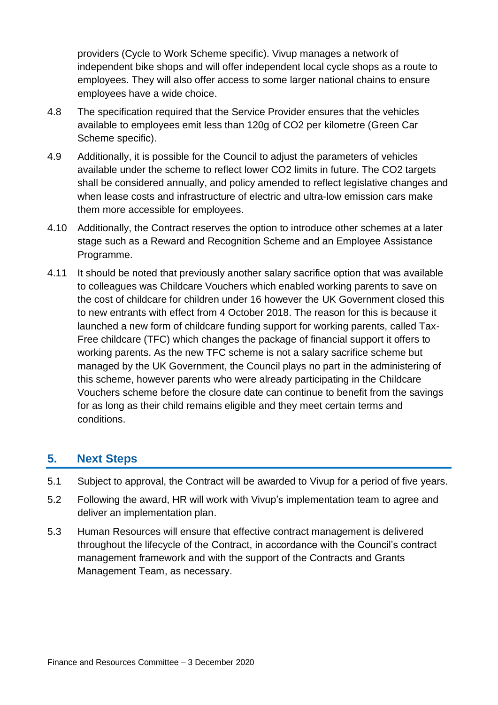providers (Cycle to Work Scheme specific). Vivup manages a network of independent bike shops and will offer independent local cycle shops as a route to employees. They will also offer access to some larger national chains to ensure employees have a wide choice.

- 4.8 The specification required that the Service Provider ensures that the vehicles available to employees emit less than 120g of CO2 per kilometre (Green Car Scheme specific).
- 4.9 Additionally, it is possible for the Council to adjust the parameters of vehicles available under the scheme to reflect lower CO2 limits in future. The CO2 targets shall be considered annually, and policy amended to reflect legislative changes and when lease costs and infrastructure of electric and ultra-low emission cars make them more accessible for employees.
- 4.10 Additionally, the Contract reserves the option to introduce other schemes at a later stage such as a Reward and Recognition Scheme and an Employee Assistance Programme.
- 4.11 It should be noted that previously another salary sacrifice option that was available to colleagues was Childcare Vouchers which enabled working parents to save on the cost of childcare for children under 16 however the UK Government closed this to new entrants with effect from 4 October 2018. The reason for this is because it launched a new form of childcare funding support for working parents, called Tax-Free childcare (TFC) which changes the package of financial support it offers to working parents. As the new TFC scheme is not a salary sacrifice scheme but managed by the UK Government, the Council plays no part in the administering of this scheme, however parents who were already participating in the Childcare Vouchers scheme before the closure date can continue to benefit from the savings for as long as their child remains eligible and they meet certain terms and conditions.

### **5. Next Steps**

- 5.1 Subject to approval, the Contract will be awarded to Vivup for a period of five years.
- 5.2 Following the award, HR will work with Vivup's implementation team to agree and deliver an implementation plan.
- 5.3 Human Resources will ensure that effective contract management is delivered throughout the lifecycle of the Contract, in accordance with the Council's contract management framework and with the support of the Contracts and Grants Management Team, as necessary.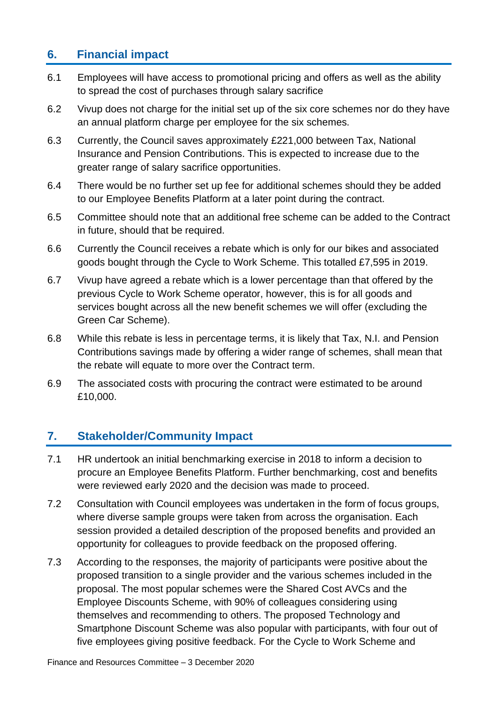## **6. Financial impact**

- 6.1 Employees will have access to promotional pricing and offers as well as the ability to spread the cost of purchases through salary sacrifice
- 6.2 Vivup does not charge for the initial set up of the six core schemes nor do they have an annual platform charge per employee for the six schemes.
- 6.3 Currently, the Council saves approximately £221,000 between Tax, National Insurance and Pension Contributions. This is expected to increase due to the greater range of salary sacrifice opportunities.
- 6.4 There would be no further set up fee for additional schemes should they be added to our Employee Benefits Platform at a later point during the contract.
- 6.5 Committee should note that an additional free scheme can be added to the Contract in future, should that be required.
- 6.6 Currently the Council receives a rebate which is only for our bikes and associated goods bought through the Cycle to Work Scheme. This totalled £7,595 in 2019.
- 6.7 Vivup have agreed a rebate which is a lower percentage than that offered by the previous Cycle to Work Scheme operator, however, this is for all goods and services bought across all the new benefit schemes we will offer (excluding the Green Car Scheme).
- 6.8 While this rebate is less in percentage terms, it is likely that Tax, N.I. and Pension Contributions savings made by offering a wider range of schemes, shall mean that the rebate will equate to more over the Contract term.
- 6.9 The associated costs with procuring the contract were estimated to be around £10,000.

# **7. Stakeholder/Community Impact**

- 7.1 HR undertook an initial benchmarking exercise in 2018 to inform a decision to procure an Employee Benefits Platform. Further benchmarking, cost and benefits were reviewed early 2020 and the decision was made to proceed.
- 7.2 Consultation with Council employees was undertaken in the form of focus groups, where diverse sample groups were taken from across the organisation. Each session provided a detailed description of the proposed benefits and provided an opportunity for colleagues to provide feedback on the proposed offering.
- 7.3 According to the responses, the majority of participants were positive about the proposed transition to a single provider and the various schemes included in the proposal. The most popular schemes were the Shared Cost AVCs and the Employee Discounts Scheme, with 90% of colleagues considering using themselves and recommending to others. The proposed Technology and Smartphone Discount Scheme was also popular with participants, with four out of five employees giving positive feedback. For the Cycle to Work Scheme and